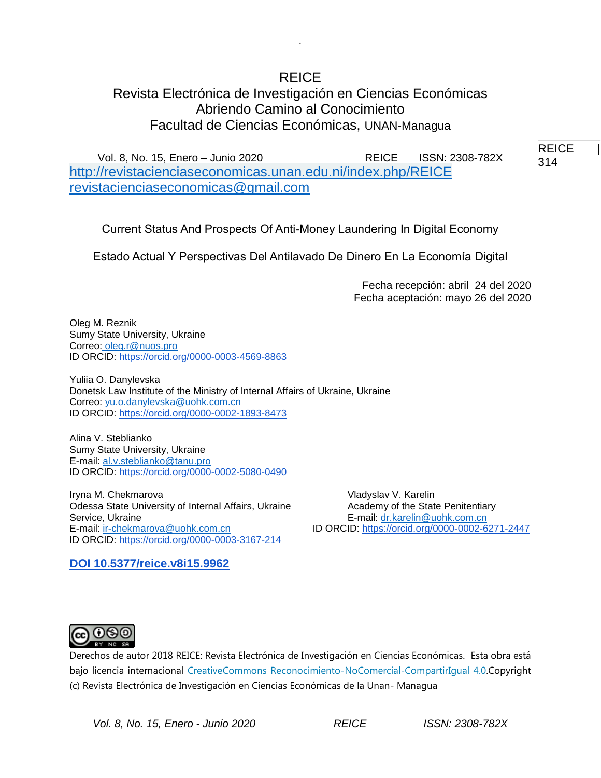# REICE

.

# Revista Electrónica de Investigación en Ciencias Económicas Abriendo Camino al Conocimiento Facultad de Ciencias Económicas, UNAN-Managua

Vol. 8, No. 15, Enero – Junio 2020 REICE ISSN: 2308-782X <http://revistacienciaseconomicas.unan.edu.ni/index.php/REICE> [revistacienciaseconomicas@gmail.com](mailto:revistacienciaseconomicas@gmail.com)

Current Status And Prospects Of Anti-Money Laundering In Digital Economy

Estado Actual Y Perspectivas Del Antilavado De Dinero En La Economía Digital

Fecha recepción: abril 24 del 2020 Fecha aceptación: mayo 26 del 2020

Oleg M. Reznik Sumy State University, Ukraine Correo: [oleg.r@nuos.pro](mailto:oleg.r@nuos.pro) ID ORCID: [https://orcid.org/0000-0003-4569-8863](https://orcid.org/0000-0002-9621-2117)

Yuliia O. Danylevska Donetsk Law Institute of the Ministry of Internal Affairs of Ukraine, Ukraine Correo: [yu.o.danylevska@uohk.com.cn](mailto:yu.o.danylevska@uohk.com.cn) ID ORCID: [https://orcid.org/0000-0002-1893-8473](https://orcid.org/0000-0002-9621-2117)

Alina V. Steblianko Sumy State University, Ukraine E-mail: [al.v.steblianko@tanu.pro](mailto:al.v.steblianko@tanu.pro) ID ORCID: [https://orcid.org/0000-0002-5080-0490](https://orcid.org/0000-0002-9621-2117)

Iryna M. Chekmarova Vladyslav V. Karelin Odessa State University of Internal Affairs, Ukraine **Academy of the State Penitentiary** Service, Ukraine E-mail: [dr.karelin@uohk.com.cn](mailto:dr.karelin@uohk.com.cn) E-mail: [ir-chekmarova@uohk.com.cn](mailto:ir-chekmarova@uohk.com.cn) ID ORCID: [https://orcid.org/0000-0002-6271-2447](https://orcid.org/0000-0002-9621-2117) ID ORCID: [https://orcid.org/0000-0003-3167-214](https://orcid.org/0000-0002-9621-2117)

**DOI 10.5377/reice.v8i15.9962**



Derechos de autor 2018 REICE: Revista Electrónica de Investigación en Ciencias Económicas. Esta obra está bajo licencia internacional [CreativeCommons Reconocimiento-NoComercial-CompartirIgual 4.0.C](http://creativecommons.org/licenses/by-nc-sa/4.0/)opyright (c) Revista Electrónica de Investigación en Ciencias Económicas de la Unan- Managua

REICE | 314 314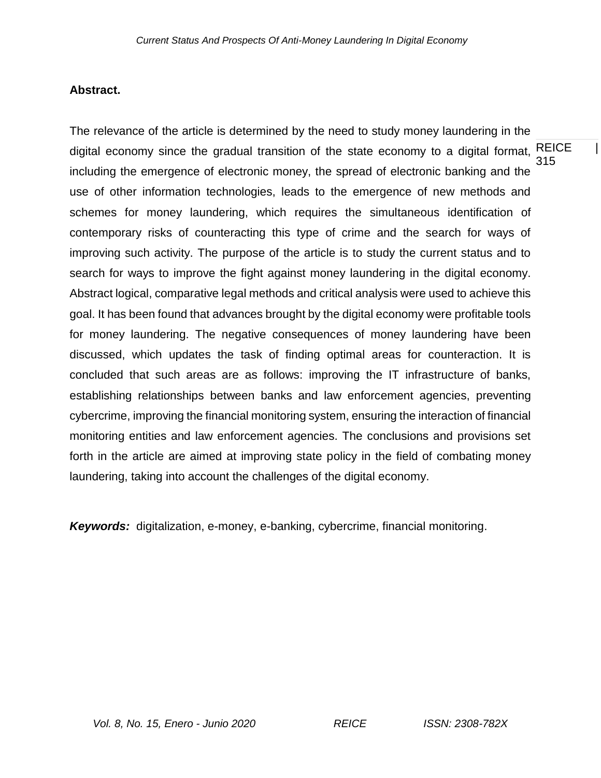### **Abstract.**

REICE | 315 The relevance of the article is determined by the need to study money laundering in the digital economy since the gradual transition of the state economy to a digital format, including the emergence of electronic money, the spread of electronic banking and the use of other information technologies, leads to the emergence of new methods and schemes for money laundering, which requires the simultaneous identification of contemporary risks of counteracting this type of crime and the search for ways of improving such activity. The purpose of the article is to study the current status and to search for ways to improve the fight against money laundering in the digital economy. Abstract logical, comparative legal methods and critical analysis were used to achieve this goal. It has been found that advances brought by the digital economy were profitable tools for money laundering. The negative consequences of money laundering have been discussed, which updates the task of finding optimal areas for counteraction. It is concluded that such areas are as follows: improving the IT infrastructure of banks, establishing relationships between banks and law enforcement agencies, preventing cybercrime, improving the financial monitoring system, ensuring the interaction of financial monitoring entities and law enforcement agencies. The conclusions and provisions set forth in the article are aimed at improving state policy in the field of combating money laundering, taking into account the challenges of the digital economy.

*Keywords:* digitalization, e-money, e-banking, cybercrime, financial monitoring.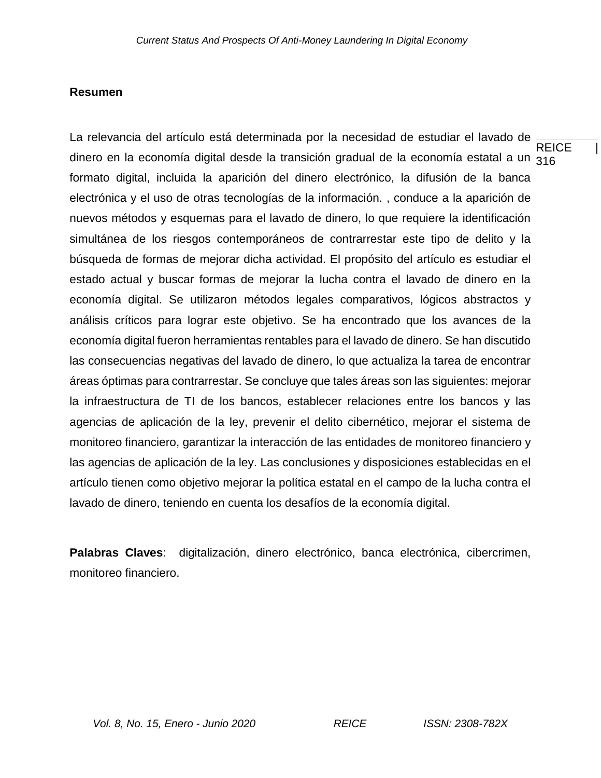## **Resumen**

**REICE** dinero en la economía digital desde la transición gradual de la economía estatal a un <sub>316</sub> La relevancia del artículo está determinada por la necesidad de estudiar el lavado de formato digital, incluida la aparición del dinero electrónico, la difusión de la banca electrónica y el uso de otras tecnologías de la información. , conduce a la aparición de nuevos métodos y esquemas para el lavado de dinero, lo que requiere la identificación simultánea de los riesgos contemporáneos de contrarrestar este tipo de delito y la búsqueda de formas de mejorar dicha actividad. El propósito del artículo es estudiar el estado actual y buscar formas de mejorar la lucha contra el lavado de dinero en la economía digital. Se utilizaron métodos legales comparativos, lógicos abstractos y análisis críticos para lograr este objetivo. Se ha encontrado que los avances de la economía digital fueron herramientas rentables para el lavado de dinero. Se han discutido las consecuencias negativas del lavado de dinero, lo que actualiza la tarea de encontrar áreas óptimas para contrarrestar. Se concluye que tales áreas son las siguientes: mejorar la infraestructura de TI de los bancos, establecer relaciones entre los bancos y las agencias de aplicación de la ley, prevenir el delito cibernético, mejorar el sistema de monitoreo financiero, garantizar la interacción de las entidades de monitoreo financiero y las agencias de aplicación de la ley. Las conclusiones y disposiciones establecidas en el artículo tienen como objetivo mejorar la política estatal en el campo de la lucha contra el lavado de dinero, teniendo en cuenta los desafíos de la economía digital.

**Palabras Claves**: digitalización, dinero electrónico, banca electrónica, cibercrimen, monitoreo financiero.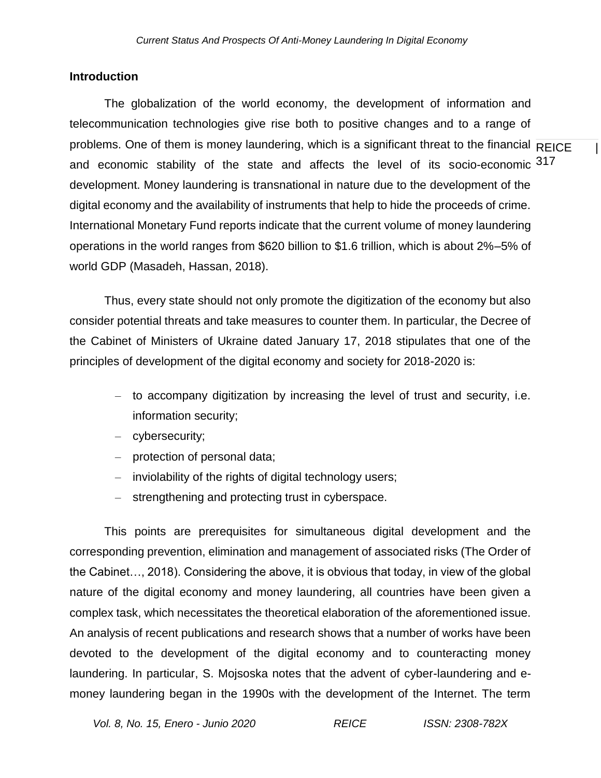#### **Introduction**

problems. One of them is money laundering, which is a significant threat to the financial  $\overline{\mathsf{REICE}}$  | and economic stability of the state and affects the level of its socio-economic 317 The globalization of the world economy, the development of information and telecommunication technologies give rise both to positive changes and to a range of development. Money laundering is transnational in nature due to the development of the digital economy and the availability of instruments that help to hide the proceeds of crime. International Monetary Fund reports indicate that the current volume of money laundering operations in the world ranges from \$620 billion to \$1.6 trillion, which is about 2%–5% of world GDP (Masadeh, Hassan, 2018).

Thus, every state should not only promote the digitization of the economy but also consider potential threats and take measures to counter them. In particular, the Decree of the Cabinet of Ministers of Ukraine dated January 17, 2018 stipulates that one of the principles of development of the digital economy and society for 2018-2020 is:

- to accompany digitization by increasing the level of trust and security, i.e. information security;
- cybersecurity;
- protection of personal data;
- inviolability of the rights of digital technology users;
- strengthening and protecting trust in cyberspace.

This points are prerequisites for simultaneous digital development and the corresponding prevention, elimination and management of associated risks (The Order of the Cabinet…, 2018). Considering the above, it is obvious that today, in view of the global nature of the digital economy and money laundering, all countries have been given a complex task, which necessitates the theoretical elaboration of the aforementioned issue. An analysis of recent publications and research shows that a number of works have been devoted to the development of the digital economy and to counteracting money laundering. In particular, S. Mojsoska notes that the advent of cyber-laundering and emoney laundering began in the 1990s with the development of the Internet. The term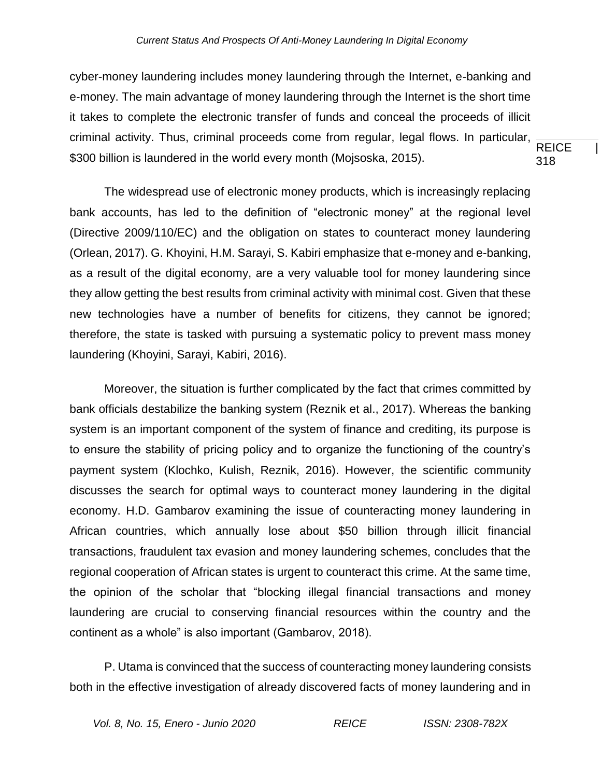**REICE** 318 cyber-money laundering includes money laundering through the Internet, e-banking and e-money. The main advantage of money laundering through the Internet is the short time it takes to complete the electronic transfer of funds and conceal the proceeds of illicit criminal activity. Thus, criminal proceeds come from regular, legal flows. In particular, \$300 billion is laundered in the world every month (Mojsoska, 2015).

The widespread use of electronic money products, which is increasingly replacing bank accounts, has led to the definition of "electronic money" at the regional level (Directive 2009/110/EC) and the obligation on states to counteract money laundering (Orlean, 2017). G. Khoyini, H.M. Sarayi, S. Kabiri emphasize that e-money and e-banking, as a result of the digital economy, are a very valuable tool for money laundering since they allow getting the best results from criminal activity with minimal cost. Given that these new technologies have a number of benefits for citizens, they cannot be ignored; therefore, the state is tasked with pursuing a systematic policy to prevent mass money laundering (Khoyini, Sarayi, Kabiri, 2016).

Moreover, the situation is further complicated by the fact that crimes committed by bank officials destabilize the banking system (Reznik et al., 2017). Whereas the banking system is an important component of the system of finance and crediting, its purpose is to ensure the stability of pricing policy and to organize the functioning of the country's payment system (Klochko, Kulish, Reznik, 2016). However, the scientific community discusses the search for optimal ways to counteract money laundering in the digital economy. H.D. Gambarov examining the issue of counteracting money laundering in African countries, which annually lose about \$50 billion through illicit financial transactions, fraudulent tax evasion and money laundering schemes, concludes that the regional cooperation of African states is urgent to counteract this crime. At the same time, the opinion of the scholar that "blocking illegal financial transactions and money laundering are crucial to conserving financial resources within the country and the continent as a whole" is also important (Gambarov, 2018).

P. Utama is convinced that the success of counteracting money laundering consists both in the effective investigation of already discovered facts of money laundering and in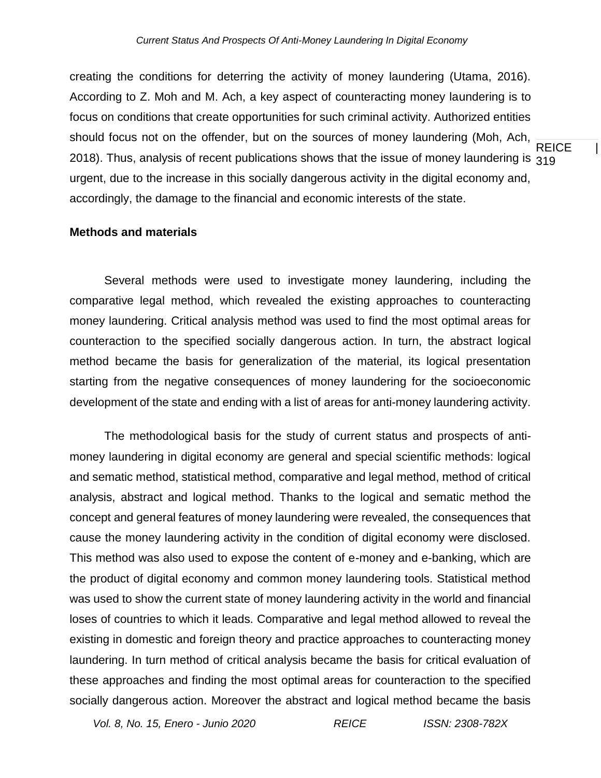**REICE** 2018). Thus, analysis of recent publications shows that the issue of money laundering is  $_{\rm 319}$ creating the conditions for deterring the activity of money laundering (Utama, 2016). According to Z. Moh and M. Ach, a key aspect of counteracting money laundering is to focus on conditions that create opportunities for such criminal activity. Authorized entities should focus not on the offender, but on the sources of money laundering (Moh, Ach, urgent, due to the increase in this socially dangerous activity in the digital economy and, accordingly, the damage to the financial and economic interests of the state.

#### **Methods and materials**

Several methods were used to investigate money laundering, including the comparative legal method, which revealed the existing approaches to counteracting money laundering. Critical analysis method was used to find the most optimal areas for counteraction to the specified socially dangerous action. In turn, the abstract logical method became the basis for generalization of the material, its logical presentation starting from the negative consequences of money laundering for the socioeconomic development of the state and ending with a list of areas for anti-money laundering activity.

The methodological basis for the study of current status and prospects of antimoney laundering in digital economy are general and special scientific methods: logical and sematic method, statistical method, comparative and legal method, method of critical analysis, abstract and logical method. Thanks to the logical and sematic method the concept and general features of money laundering were revealed, the consequences that cause the money laundering activity in the condition of digital economy were disclosed. This method was also used to expose the content of e-money and e-banking, which are the product of digital economy and common money laundering tools. Statistical method was used to show the current state of money laundering activity in the world and financial loses of countries to which it leads. Comparative and legal method allowed to reveal the existing in domestic and foreign theory and practice approaches to counteracting money laundering. In turn method of critical analysis became the basis for critical evaluation of these approaches and finding the most optimal areas for counteraction to the specified socially dangerous action. Moreover the abstract and logical method became the basis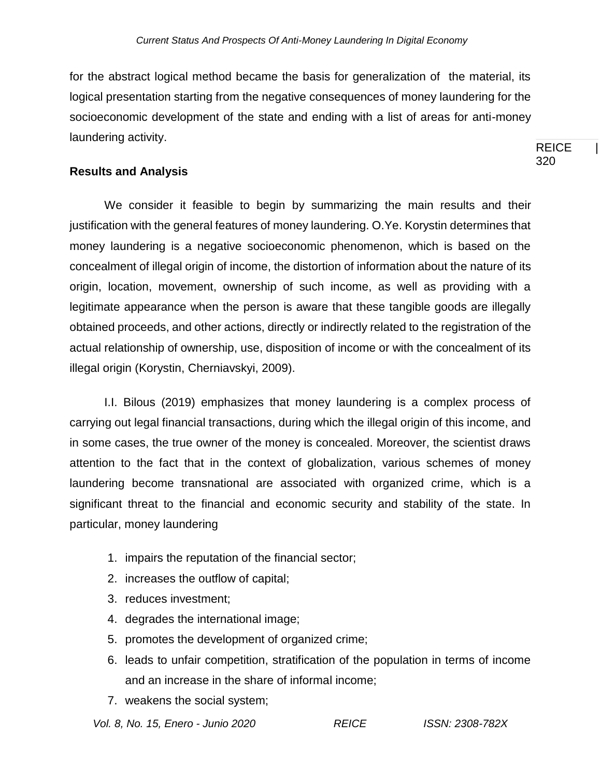**REICE** for the abstract logical method became the basis for generalization of the material, its logical presentation starting from the negative consequences of money laundering for the socioeconomic development of the state and ending with a list of areas for anti-money laundering activity.

320

## **Results and Analysis**

We consider it feasible to begin by summarizing the main results and their justification with the general features of money laundering. O.Ye. Korystin determines that money laundering is a negative socioeconomic phenomenon, which is based on the concealment of illegal origin of income, the distortion of information about the nature of its origin, location, movement, ownership of such income, as well as providing with a legitimate appearance when the person is aware that these tangible goods are illegally obtained proceeds, and other actions, directly or indirectly related to the registration of the actual relationship of ownership, use, disposition of income or with the concealment of its illegal origin (Korystin, Cherniavskyi, 2009).

I.I. Bilous (2019) emphasizes that money laundering is a complex process of carrying out legal financial transactions, during which the illegal origin of this income, and in some cases, the true owner of the money is concealed. Moreover, the scientist draws attention to the fact that in the context of globalization, various schemes of money laundering become transnational are associated with organized crime, which is a significant threat to the financial and economic security and stability of the state. In particular, money laundering

- 1. impairs the reputation of the financial sector;
- 2. increases the outflow of capital;
- 3. reduces investment;
- 4. degrades the international image;
- 5. promotes the development of organized crime;
- 6. leads to unfair competition, stratification of the population in terms of income and an increase in the share of informal income;
- 7. weakens the social system;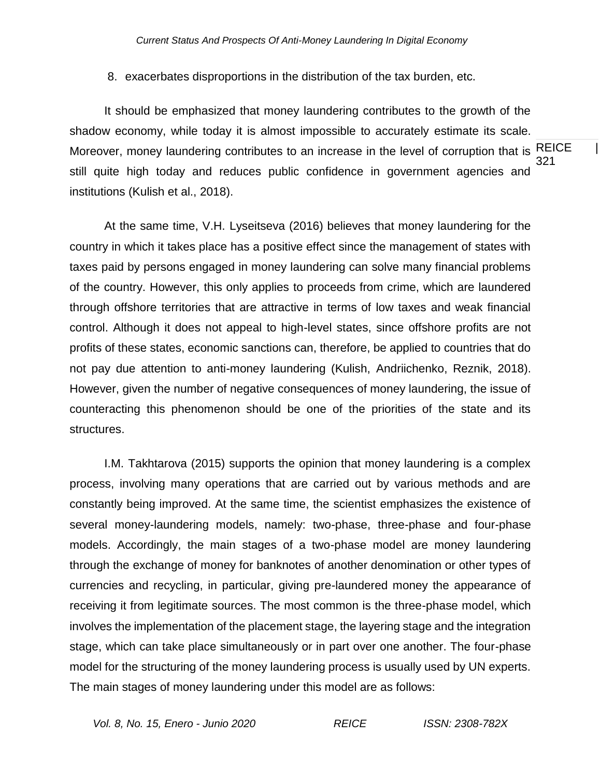8. exacerbates disproportions in the distribution of the tax burden, etc.

Moreover, money laundering contributes to an increase in the level of corruption that is REICE  $\qquad \vert$ 321 It should be emphasized that money laundering contributes to the growth of the shadow economy, while today it is almost impossible to accurately estimate its scale. still quite high today and reduces public confidence in government agencies and institutions (Kulish et al., 2018).

At the same time, V.H. Lyseitseva (2016) believes that money laundering for the country in which it takes place has a positive effect since the management of states with taxes paid by persons engaged in money laundering can solve many financial problems of the country. However, this only applies to proceeds from crime, which are laundered through offshore territories that are attractive in terms of low taxes and weak financial control. Although it does not appeal to high-level states, since offshore profits are not profits of these states, economic sanctions can, therefore, be applied to countries that do not pay due attention to anti-money laundering (Kulish, Andriichenko, Reznik, 2018). However, given the number of negative consequences of money laundering, the issue of counteracting this phenomenon should be one of the priorities of the state and its structures.

I.M. Takhtarova (2015) supports the opinion that money laundering is a complex process, involving many operations that are carried out by various methods and are constantly being improved. At the same time, the scientist emphasizes the existence of several money-laundering models, namely: two-phase, three-phase and four-phase models. Accordingly, the main stages of a two-phase model are money laundering through the exchange of money for banknotes of another denomination or other types of currencies and recycling, in particular, giving pre-laundered money the appearance of receiving it from legitimate sources. The most common is the three-phase model, which involves the implementation of the placement stage, the layering stage and the integration stage, which can take place simultaneously or in part over one another. The four-phase model for the structuring of the money laundering process is usually used by UN experts. The main stages of money laundering under this model are as follows: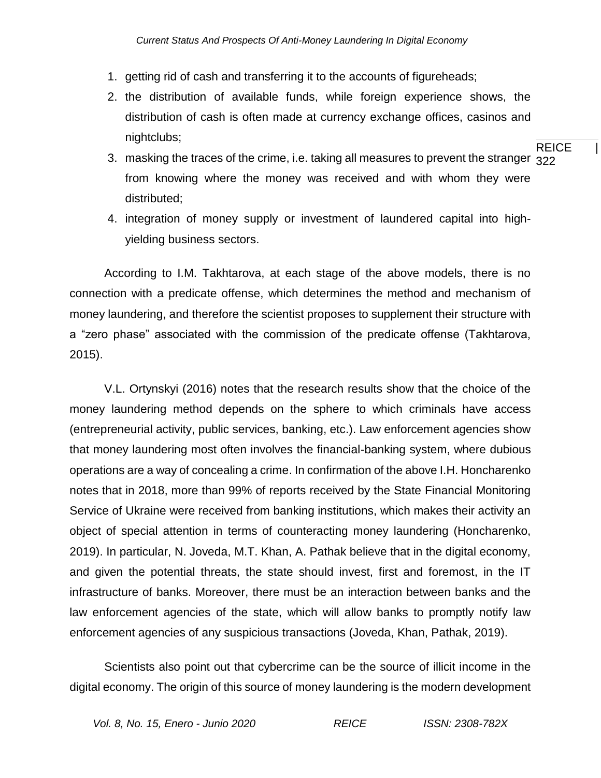- 1. getting rid of cash and transferring it to the accounts of figureheads;
- 2. the distribution of available funds, while foreign experience shows, the distribution of cash is often made at currency exchange offices, casinos and nightclubs;
- 3.  $\,$  masking the traces of the crime, i.e. taking all measures to prevent the stranger  $\,{}_{322}$ from knowing where the money was received and with whom they were distributed;

REICE |

4. integration of money supply or investment of laundered capital into highyielding business sectors.

According to I.M. Takhtarova, at each stage of the above models, there is no connection with a predicate offense, which determines the method and mechanism of money laundering, and therefore the scientist proposes to supplement their structure with a "zero phase" associated with the commission of the predicate offense (Takhtarova, 2015).

V.L. Ortynskyi (2016) notes that the research results show that the choice of the money laundering method depends on the sphere to which criminals have access (entrepreneurial activity, public services, banking, etc.). Law enforcement agencies show that money laundering most often involves the financial-banking system, where dubious operations are a way of concealing a crime. In confirmation of the above I.H. Honcharenko notes that in 2018, more than 99% of reports received by the State Financial Monitoring Service of Ukraine were received from banking institutions, which makes their activity an object of special attention in terms of counteracting money laundering (Honcharenko, 2019). In particular, N. Joveda, M.T. Khan, A. Pathak believe that in the digital economy, and given the potential threats, the state should invest, first and foremost, in the IT infrastructure of banks. Moreover, there must be an interaction between banks and the law enforcement agencies of the state, which will allow banks to promptly notify law enforcement agencies of any suspicious transactions (Joveda, Khan, Pathak, 2019).

Scientists also point out that cybercrime can be the source of illicit income in the digital economy. The origin of this source of money laundering is the modern development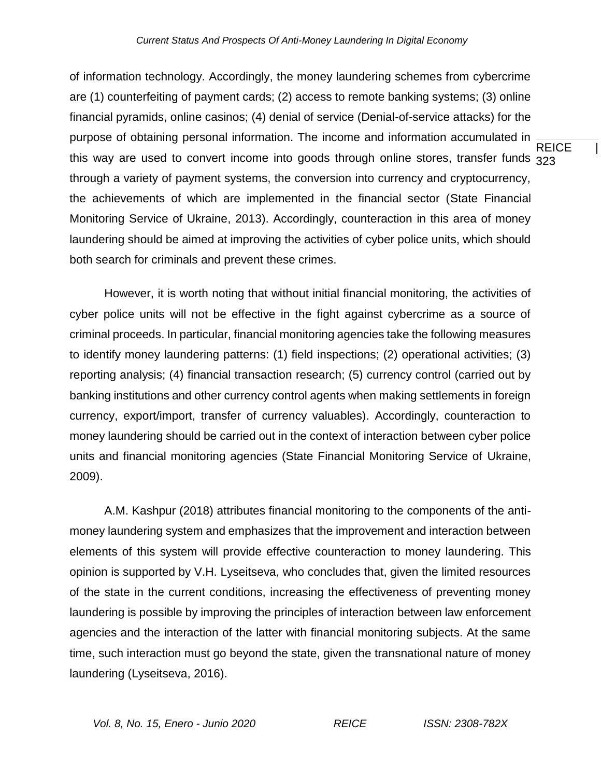REICE | this way are used to convert income into goods through online stores, transfer funds  $_{\rm 323}$ of information technology. Accordingly, the money laundering schemes from cybercrime are (1) counterfeiting of payment cards; (2) access to remote banking systems; (3) online financial pyramids, online casinos; (4) denial of service (Denial-of-service attacks) for the purpose of obtaining personal information. The income and information accumulated in through a variety of payment systems, the conversion into currency and cryptocurrency, the achievements of which are implemented in the financial sector (State Financial Monitoring Service of Ukraine, 2013). Accordingly, counteraction in this area of money laundering should be aimed at improving the activities of cyber police units, which should both search for criminals and prevent these crimes.

However, it is worth noting that without initial financial monitoring, the activities of cyber police units will not be effective in the fight against cybercrime as a source of criminal proceeds. In particular, financial monitoring agencies take the following measures to identify money laundering patterns: (1) field inspections; (2) operational activities; (3) reporting analysis; (4) financial transaction research; (5) currency control (carried out by banking institutions and other currency control agents when making settlements in foreign currency, export/import, transfer of currency valuables). Accordingly, counteraction to money laundering should be carried out in the context of interaction between cyber police units and financial monitoring agencies (State Financial Monitoring Service of Ukraine, 2009).

A.M. Kashpur (2018) attributes financial monitoring to the components of the antimoney laundering system and emphasizes that the improvement and interaction between elements of this system will provide effective counteraction to money laundering. This opinion is supported by V.H. Lyseitseva, who concludes that, given the limited resources of the state in the current conditions, increasing the effectiveness of preventing money laundering is possible by improving the principles of interaction between law enforcement agencies and the interaction of the latter with financial monitoring subjects. At the same time, such interaction must go beyond the state, given the transnational nature of money laundering (Lyseitseva, 2016).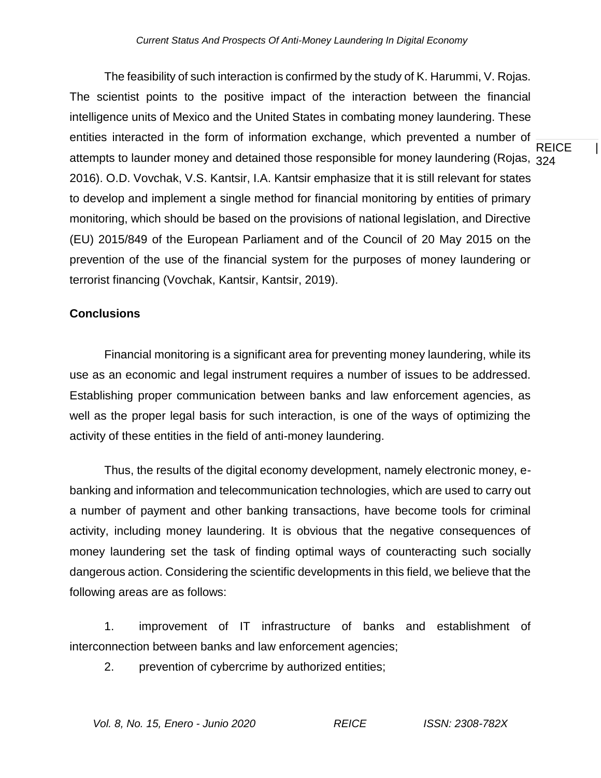attempts to launder money and detained those responsible for money laundering (Rojas,  $_{\rm 324}$ The feasibility of such interaction is confirmed by the study of K. Harummi, V. Rojas. The scientist points to the positive impact of the interaction between the financial intelligence units of Mexico and the United States in combating money laundering. These entities interacted in the form of information exchange, which prevented a number of 2016). O.D. Vovchak, V.S. Kantsir, I.A. Kantsir emphasize that it is still relevant for states to develop and implement a single method for financial monitoring by entities of primary monitoring, which should be based on the provisions of national legislation, and Directive (EU) 2015/849 of the European Parliament and of the Council of 20 May 2015 on the prevention of the use of the financial system for the purposes of money laundering or terrorist financing (Vovchak, Kantsir, Kantsir, 2019).

## **Conclusions**

Financial monitoring is a significant area for preventing money laundering, while its use as an economic and legal instrument requires a number of issues to be addressed. Establishing proper communication between banks and law enforcement agencies, as well as the proper legal basis for such interaction, is one of the ways of optimizing the activity of these entities in the field of anti-money laundering.

Thus, the results of the digital economy development, namely electronic money, ebanking and information and telecommunication technologies, which are used to carry out a number of payment and other banking transactions, have become tools for criminal activity, including money laundering. It is obvious that the negative consequences of money laundering set the task of finding optimal ways of counteracting such socially dangerous action. Considering the scientific developments in this field, we believe that the following areas are as follows:

1. improvement of IT infrastructure of banks and establishment of interconnection between banks and law enforcement agencies;

2. prevention of cybercrime by authorized entities;

REICE |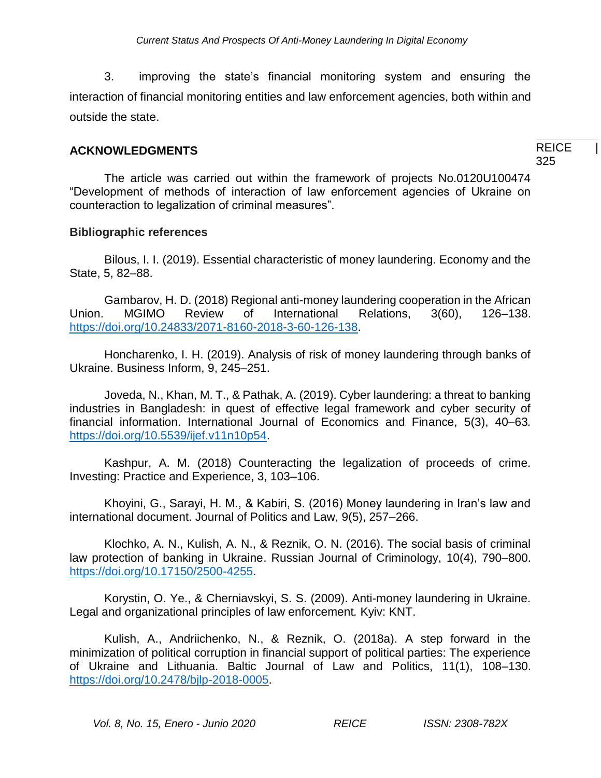3. improving the state's financial monitoring system and ensuring the interaction of financial monitoring entities and law enforcement agencies, both within and outside the state.

## **ACKNOWLEDGMENTS**

**REICE** 325

The article was carried out within the framework of projects No.0120U100474 "Development of methods of interaction of law enforcement agencies of Ukraine on counteraction to legalization of criminal measures".

### **Bibliographic references**

Bilous, I. I. (2019). Essential characteristic of money laundering. Economy and the State, 5, 82–88.

Gambarov, H. D. (2018) Regional anti-money laundering cooperation in the African Union. MGIMO Review of International Relations, 3(60), 126–138. [https://doi.org/10.24833/2071-8160-2018-3-60-126-138.](https://doi.org/10.24833/2071-8160-2018-3-60-126-138)

Honcharenko, I. H. (2019). Analysis of risk of money laundering through banks of Ukraine. Business Inform, 9, 245–251.

Joveda, N., Khan, M. T., & Pathak, A. (2019). Cyber laundering: a threat to banking industries in Bangladesh: in quest of effective legal framework and cyber security of financial information. International Journal of Economics and Finance, 5(3), 40–63*.*  [https://doi.org/10.5539/ijef.v11n10p54.](https://doi.org/10.5539/ijef.v11n10p54)

Kashpur, A. M. (2018) Counteracting the legalization of proceeds of crime. Investing: Practice and Experience, 3, 103–106.

Khoyini, G., Sarayi, H. M., & Kabiri, S. (2016) Money laundering in Iran's law and international document. Journal of Politics and Law, 9(5), 257–266.

Klochko, A. N., Kulish, A. N., & Reznik, O. N. (2016). The social basis of criminal law protection of banking in Ukraine. Russian Journal of Criminology, 10(4), 790–800. [https://doi.org/10.17150/2500-4255.](https://doi.org/10.17150/2500-4255)

Korystin, O. Ye., & Cherniavskyi, S. S. (2009). Anti-money laundering in Ukraine. Legal and organizational principles of law enforcement*.* Kyiv: KNT.

Kulish, A., Andriichenko, N., & Reznik, O. (2018a). A step forward in the minimization of political corruption in financial support of political parties: The experience of Ukraine and Lithuania. Baltic Journal of Law and Politics, 11(1), 108–130. [https://doi.org/10.2478/bjlp-2018-0005.](https://doi.org/10.2478/bjlp-2018-0005)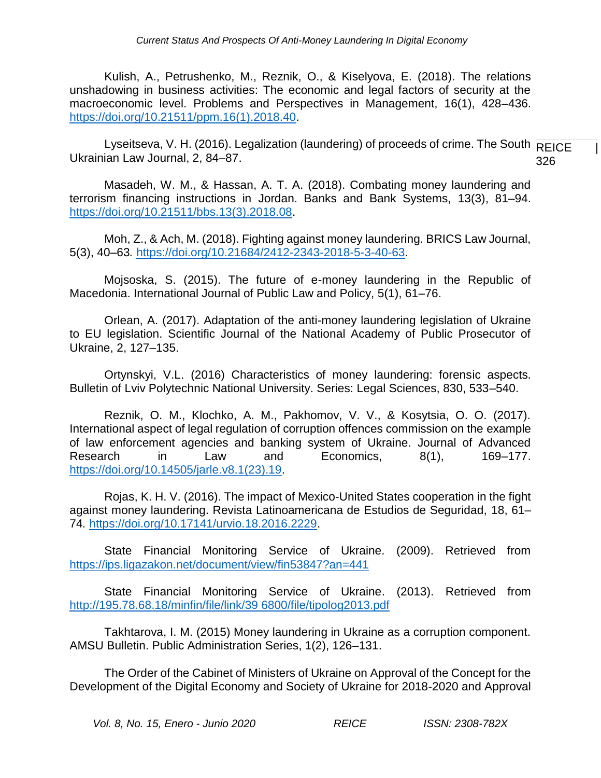Kulish, A., Petrushenko, M., Reznik, O., & Kiselyova, E. (2018). The relations unshadowing in business activities: The economic and legal factors of security at the macroeconomic level. Problems and Perspectives in Management, 16(1), 428–436. [https://doi.org/10.21511/ppm.16\(1\).2018.40.](https://doi.org/10.21511/ppm.16(1).2018.40)

Lyseitseva, V. H. (2016). Legalization (laundering) of proceeds of crime. The South  $\overline{\sf REICE}$ 326 Ukrainian Law Journal, 2, 84–87.

Masadeh, W. M., & Hassan, A. T. A. (2018). Combating money laundering and terrorism financing instructions in Jordan. Banks and Bank Systems, 13(3), 81–94. [https://doi.org/10.21511/bbs.13\(3\).2018.08.](https://doi.org/10.21511/bbs.13(3).2018.08)

Moh, Z., & Ach, M. (2018). Fighting against money laundering. BRICS Law Journal, 5(3), 40–63*.* [https://doi.org/10.21684/2412-2343-2018-5-3-40-63.](https://doi.org/10.21684/2412-2343-2018-5-3-40-63)

Mojsoska, S. (2015). The future of e-money laundering in the Republic of Macedonia. International Journal of Public Law and Policy, 5(1), 61–76.

Orlean, A. (2017). Adaptation of the anti-money laundering legislation of Ukraine to EU legislation. Scientific Journal of the National Academy of Public Prosecutor of Ukraine, 2, 127–135.

Ortynskyi, V.L. (2016) Characteristics of money laundering: forensic aspects. Bulletin of Lviv Polytechnic National University. Series: Legal Sciences, 830, 533–540.

Reznik, O. M., Klochko, A. M., Pakhomov, V. V., & Kosytsia, O. O. (2017). International aspect of legal regulation of corruption offences commission on the example of law enforcement agencies and banking system of Ukraine. Journal of Advanced Research in Law and Economics, 8(1), 169–177. [https://doi.org/10.14505/jarle.v8.1\(23\).19.](https://doi.org/10.14505/jarle.v8.1(23).19)

Rojas, K. H. V. (2016). The impact of Mexico-United States cooperation in the fight against money laundering. Revista Latinoamericana de Estudios de Seguridad, 18, 61– 74*.* [https://doi.org/10.17141/urvio.18.2016.2229.](https://doi.org/10.17141/urvio.18.2016.2229)

State Financial Monitoring Service of Ukraine. (2009). Retrieved from <https://ips.ligazakon.net/document/view/fin53847?an=441>

State Financial Monitoring Service of Ukraine. (2013). Retrieved from [http://195.78.68.18/minfin/file/link/39 6800/file/tipolog2013.pdf](http://195.78.68.18/minfin/file/link/39%206800/file/tipolog2013.pdf)

Takhtarova, I. M. (2015) Money laundering in Ukraine as a corruption component. AMSU Bulletin. Public Administration Series, 1(2), 126–131.

The Order of the Cabinet of Ministers of Ukraine on Approval of the Concept for the Development of the Digital Economy and Society of Ukraine for 2018-2020 and Approval